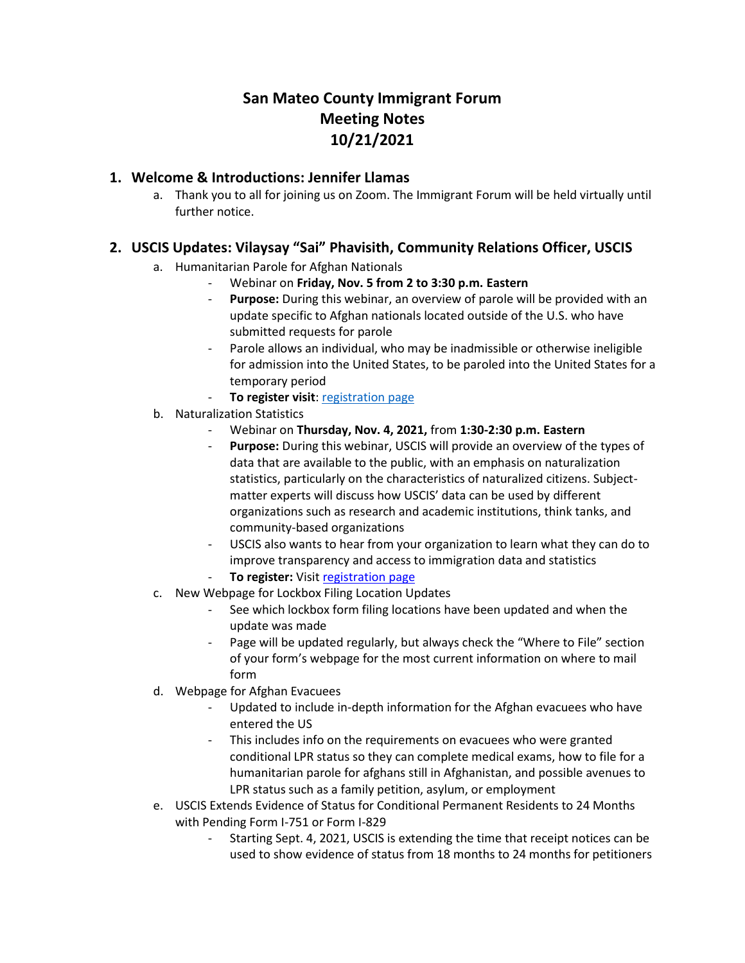# **San Mateo County Immigrant Forum Meeting Notes 10/21/2021**

#### **1. Welcome & Introductions: Jennifer Llamas**

a. Thank you to all for joining us on Zoom. The Immigrant Forum will be held virtually until further notice.

#### **2. USCIS Updates: Vilaysay "Sai" Phavisith, Community Relations Officer, USCIS**

- a. Humanitarian Parole for Afghan Nationals
	- Webinar on **Friday, Nov. 5 from 2 to 3:30 p.m. Eastern**
	- **Purpose:** During this webinar, an overview of parole will be provided with an update specific to Afghan nationals located outside of the U.S. who have submitted requests for parole
	- Parole allows an individual, who may be inadmissible or otherwise ineligible for admission into the United States, to be paroled into the United States for a temporary period
	- **To register visit[: registration page](https://gcc02.safelinks.protection.outlook.com/?url=https%3A%2F%2Fpublic.govdelivery.com%2Faccounts%2FUSDHSCIS%2Fsubscriber%2Fnew%3Ftopic_id%3DUSDHSCIS_495&data=04%7C01%7CVilaysay.Phavisith%40uscis.dhs.gov%7C33eb477fa6444e39837808d9926bc49e%7C5e41ee740d2d4a728975998ce83205eb%7C0%7C0%7C637701813840201805%7CUnknown%7CTWFpbGZsb3d8eyJWIjoiMC4wLjAwMDAiLCJQIjoiV2luMzIiLCJBTiI6Ik1haWwiLCJXVCI6Mn0%3D%7C1000&sdata=TpKXLgqgP1fDxx7V4OUmEuiN6CJvlCyYsX4b7fyspi0%3D&reserved=0)**
- b. Naturalization Statistics
	- Webinar on **Thursday, Nov. 4, 2021,** from **1:30-2:30 p.m. Eastern**
	- **Purpose:** During this webinar, USCIS will provide an overview of the types of data that are available to the public, with an emphasis on naturalization statistics, particularly on the characteristics of naturalized citizens. Subjectmatter experts will discuss how USCIS' data can be used by different organizations such as research and academic institutions, think tanks, and community-based organizations
	- USCIS also wants to hear from your organization to learn what they can do to improve transparency and access to immigration data and statistics
	- **To register:** Visit [registration page](https://gcc02.safelinks.protection.outlook.com/?url=https%3A%2F%2Fpublic.govdelivery.com%2Faccounts%2FUSDHSCIS%2Fsubscriber%2Fnew%3Ftopic_id%3DUSDHSCIS_493&data=04%7C01%7CVilaysay.Phavisith%40uscis.dhs.gov%7C42650c47d8d5436cd61d08d9927477aa%7C5e41ee740d2d4a728975998ce83205eb%7C0%7C0%7C637701851194982690%7CUnknown%7CTWFpbGZsb3d8eyJWIjoiMC4wLjAwMDAiLCJQIjoiV2luMzIiLCJBTiI6Ik1haWwiLCJXVCI6Mn0%3D%7C1000&sdata=baZJlWXHfQi0U0A1nILmnh7B44YI085MTuYA8T9H32M%3D&reserved=0)
- c. New Webpage for Lockbox Filing Location Updates
	- See which lockbox form filing locations have been updated and when the update was made
	- Page will be updated regularly, but always check the "Where to File" section of your form's webpage for the most current information on where to mail form
- d. Webpage for Afghan Evacuees
	- Updated to include in-depth information for the Afghan evacuees who have entered the US
	- This includes info on the requirements on evacuees who were granted conditional LPR status so they can complete medical exams, how to file for a humanitarian parole for afghans still in Afghanistan, and possible avenues to LPR status such as a family petition, asylum, or employment
- e. USCIS Extends Evidence of Status for Conditional Permanent Residents to 24 Months with Pending Form I-751 or Form I-829
	- Starting Sept. 4, 2021, USCIS is extending the time that receipt notices can be used to show evidence of status from 18 months to 24 months for petitioners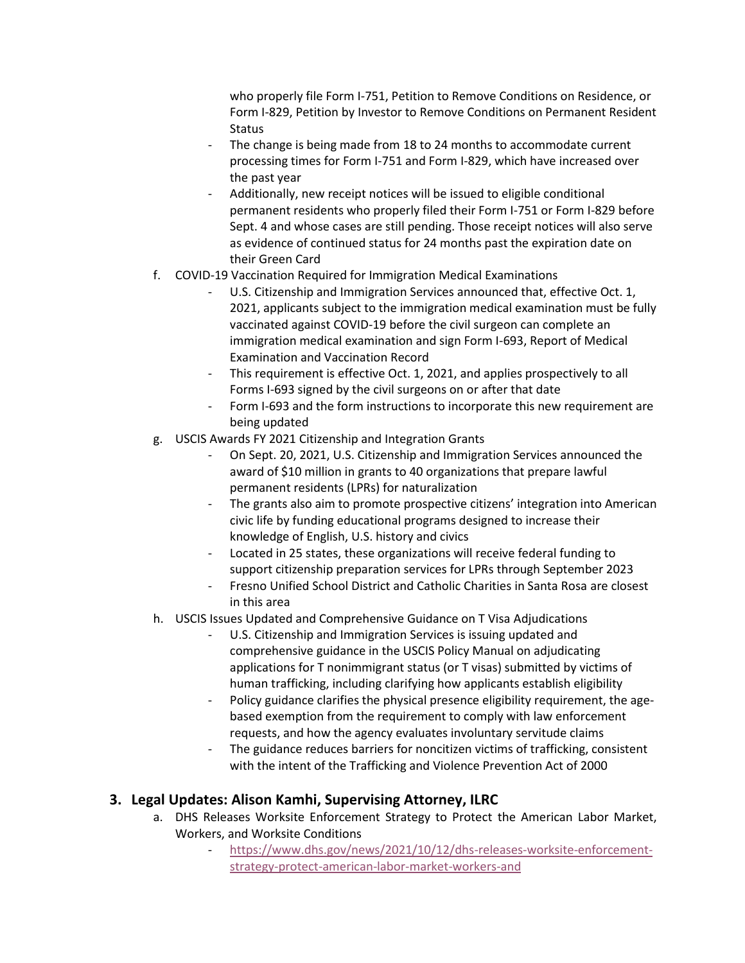who properly file Form I-751, Petition to Remove Conditions on Residence, or Form I-829, Petition by Investor to Remove Conditions on Permanent Resident **Status** 

- The change is being made from 18 to 24 months to accommodate current processing times for Form I-751 and Form I-829, which have increased over the past year
- Additionally, new receipt notices will be issued to eligible conditional permanent residents who properly filed their Form I-751 or Form I-829 before Sept. 4 and whose cases are still pending. Those receipt notices will also serve as evidence of continued status for 24 months past the expiration date on their Green Card
- f. COVID-19 Vaccination Required for Immigration Medical Examinations
	- U.S. Citizenship and Immigration Services announced that, effective Oct. 1, 2021, applicants subject to the immigration medical examination must be fully vaccinated against COVID-19 before the civil surgeon can complete an immigration medical examination and sign Form I-693, Report of Medical Examination and Vaccination Record
	- This requirement is effective Oct. 1, 2021, and applies prospectively to all Forms I-693 signed by the civil surgeons on or after that date
	- Form I-693 and the form instructions to incorporate this new requirement are being updated
- g. USCIS Awards FY 2021 Citizenship and Integration Grants
	- On Sept. 20, 2021, U.S. Citizenship and Immigration Services announced the award of \$10 million in grants to 40 organizations that prepare lawful permanent residents (LPRs) for naturalization
	- The grants also aim to promote prospective citizens' integration into American civic life by funding educational programs designed to increase their knowledge of English, U.S. history and civics
	- Located in 25 states, these organizations will receive federal funding to support citizenship preparation services for LPRs through September 2023
	- Fresno Unified School District and Catholic Charities in Santa Rosa are closest in this area
- h. USCIS Issues Updated and Comprehensive Guidance on T Visa Adjudications
	- U.S. Citizenship and Immigration Services is issuing updated and comprehensive guidance in the USCIS Policy Manual on adjudicating applications for T nonimmigrant status (or T visas) submitted by victims of human trafficking, including clarifying how applicants establish eligibility
	- Policy guidance clarifies the physical presence eligibility requirement, the agebased exemption from the requirement to comply with law enforcement requests, and how the agency evaluates involuntary servitude claims
	- The guidance reduces barriers for noncitizen victims of trafficking, consistent with the intent of the Trafficking and Violence Prevention Act of 2000

## **3. Legal Updates: Alison Kamhi, Supervising Attorney, ILRC**

- a. DHS Releases Worksite Enforcement Strategy to Protect the American Labor Market, Workers, and Worksite Conditions
	- [https://www.dhs.gov/news/2021/10/12/dhs-releases-worksite-enforcement](https://www.dhs.gov/news/2021/10/12/dhs-releases-worksite-enforcement-strategy-protect-american-labor-market-workers-and)[strategy-protect-american-labor-market-workers-and](https://www.dhs.gov/news/2021/10/12/dhs-releases-worksite-enforcement-strategy-protect-american-labor-market-workers-and)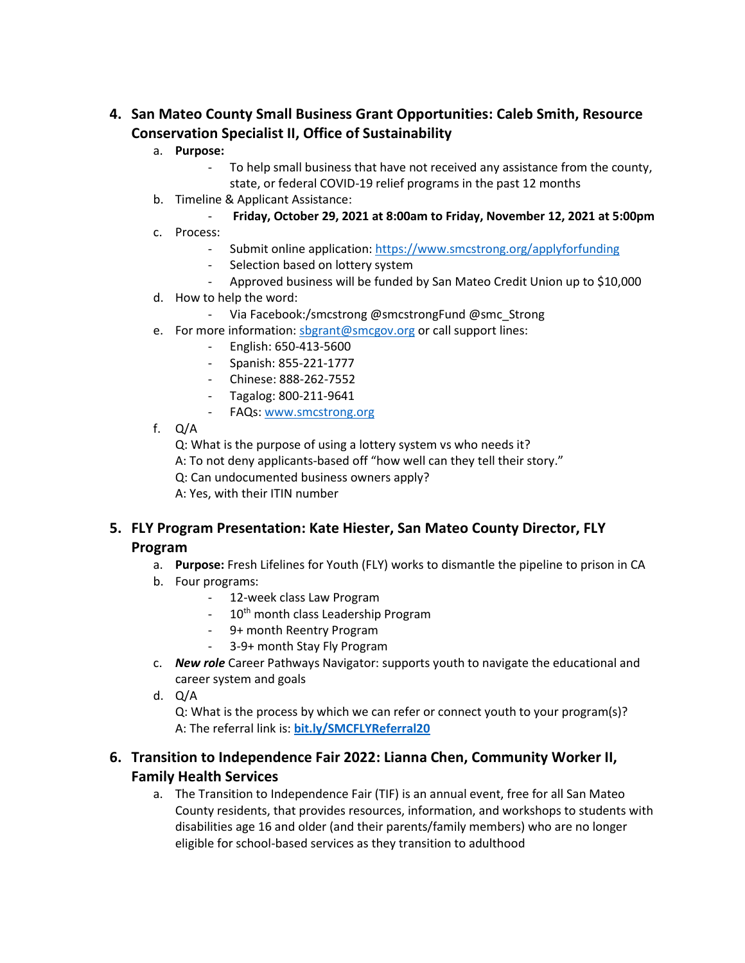## **4. San Mateo County Small Business Grant Opportunities: Caleb Smith, Resource Conservation Specialist II, Office of Sustainability**

#### a. **Purpose:**

- To help small business that have not received any assistance from the county, state, or federal COVID-19 relief programs in the past 12 months
- b. Timeline & Applicant Assistance:
	- **Friday, October 29, 2021 at 8:00am to Friday, November 12, 2021 at 5:00pm**
- c. Process:
	- Submit online application[: https://www.smcstrong.org/applyforfunding](https://www.smcstrong.org/applyforfunding)
	- Selection based on lottery system
	- Approved business will be funded by San Mateo Credit Union up to \$10,000
- d. How to help the word:
	- Via Facebook:/smcstrong @smcstrongFund @smc\_Strong
- e. For more information: [sbgrant@smcgov.org](mailto:sbgrant@smcgov.org) or call support lines:
	- English: 650-413-5600
	- Spanish: 855-221-1777
	- Chinese: 888-262-7552
	- Tagalog: 800-211-9641
	- FAQs[: www.smcstrong.org](http://www.smcstrong.org/)
- f. Q/A

Q: What is the purpose of using a lottery system vs who needs it?

A: To not deny applicants-based off "how well can they tell their story."

Q: Can undocumented business owners apply?

A: Yes, with their ITIN number

## **5. FLY Program Presentation: Kate Hiester, San Mateo County Director, FLY Program**

- a. **Purpose:** Fresh Lifelines for Youth (FLY) works to dismantle the pipeline to prison in CA
- b. Four programs:
	- 12-week class Law Program
	- 10<sup>th</sup> month class Leadership Program
	- 9+ month Reentry Program
	- 3-9+ month Stay Fly Program
- c. *New role* Career Pathways Navigator: supports youth to navigate the educational and career system and goals
- d. Q/A

Q: What is the process by which we can refer or connect youth to your program(s)? A: The referral link is: **[bit.ly/SMCFLYReferral20](https://protect-us.mimecast.com/s/VcSMCrkqmZFoRx5zhzIhV_)**

#### **6. Transition to Independence Fair 2022: Lianna Chen, Community Worker II, Family Health Services**

a. The Transition to Independence Fair (TIF) is an annual event, free for all San Mateo County residents, that provides resources, information, and workshops to students with disabilities age 16 and older (and their parents/family members) who are no longer eligible for school-based services as they transition to adulthood